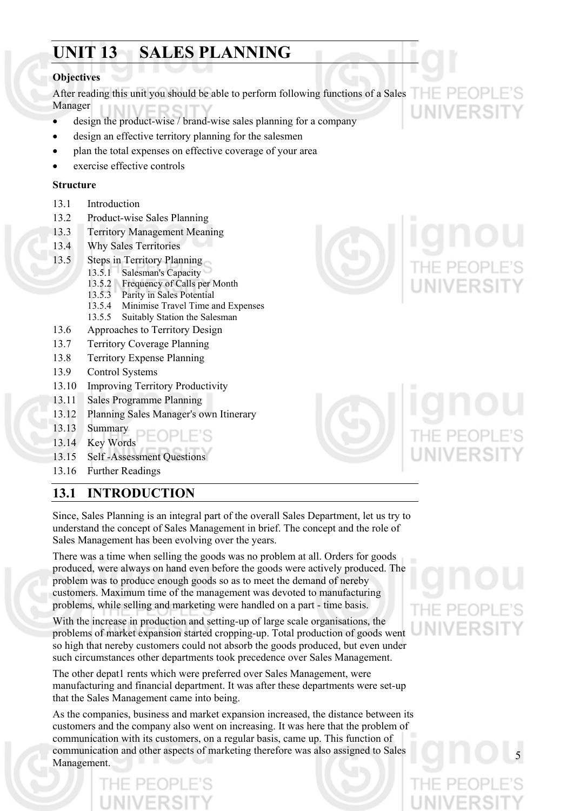# **UNIT 13 SALES PLANNING**

## **Objectives**

After reading this unit you should be able to perform following functions of a Sales Manager

- design the product-wise / brand-wise sales planning for a company
- design an effective territory planning for the salesmen
- plan the total expenses on effective coverage of your area
- exercise effective controls

## **Structure**

- 13.1 Introduction
- 13.2 Product-wise Sales Planning
- 13.3 Territory Management Meaning
- 13.4 Why Sales Territories
- 13.5 Steps in Territory Planning
	- 13.5.1 Salesman's Capacity
	- 13.5.2 Frequency of Calls per Month
	- 13.5.3 Parity in Sales Potential
	- 13.5.4 Minimise Travel Time and Expenses
	- 13.5.5 Suitably Station the Salesman
- 13.6 Approaches to Territory Design
- 13.7 Territory Coverage Planning
- 13.8 Territory Expense Planning
- 13.9 Control Systems
- 13.10 Improving Territory Productivity
- 13.11 Sales Programme Planning
- 13.12 Planning Sales Manager's own Itinerary
- 13.13 Summary
- 13.14 Key Words
- 13.15 Self -Assessment Questions
- 13.16 Further Readings

# **13.1 INTRODUCTION**

Since, Sales Planning is an integral part of the overall Sales Department, let us try to understand the concept of Sales Management in brief. The concept and the role of Sales Management has been evolving over the years.

There was a time when selling the goods was no problem at all. Orders for goods produced, were always on hand even before the goods were actively produced. The problem was to produce enough goods so as to meet the demand of nereby customers. Maximum time of the management was devoted to manufacturing problems, while selling and marketing were handled on a part - time basis.

With the increase in production and setting-up of large scale organisations, the problems of market expansion started cropping-up. Total production of goods went so high that nereby customers could not absorb the goods produced, but even under such circumstances other departments took precedence over Sales Management.

The other depat1 rents which were preferred over Sales Management, were manufacturing and financial department. It was after these departments were set-up that the Sales Management came into being.

As the companies, business and market expansion increased, the distance between its customers and the company also went on increasing. It was here that the problem of communication with its customers, on a regular basis, came up. This function of communication and other aspects of marketing therefore was also assigned to Sales Management.



 $\Box$ 

NIVERSI



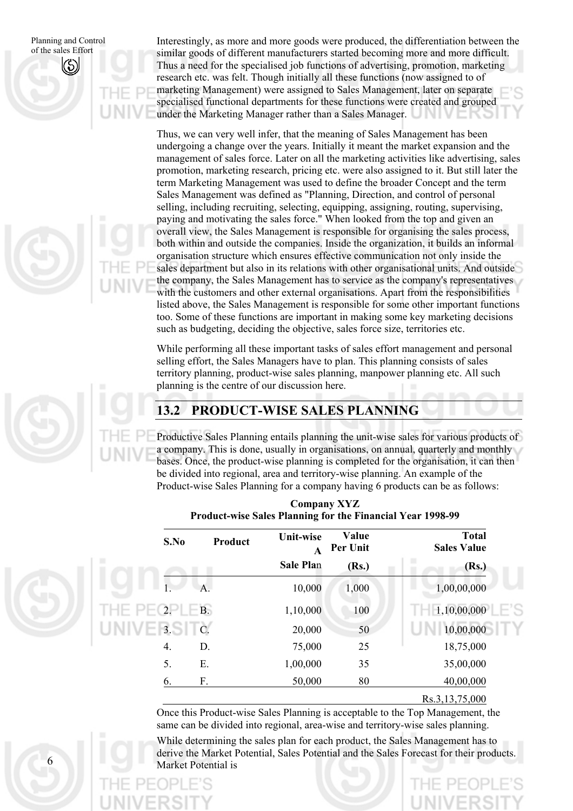6

Interestingly, as more and more goods were produced, the differentiation between the similar goods of different manufacturers started becoming more and more difficult. Thus a need for the specialised job functions of advertising, promotion, marketing research etc. was felt. Though initially all these functions (now assigned to of marketing Management) were assigned to Sales Management, later on separate specialised functional departments for these functions were created and grouped under the Marketing Manager rather than a Sales Manager.

Thus, we can very well infer, that the meaning of Sales Management has been undergoing a change over the years. Initially it meant the market expansion and the management of sales force. Later on all the marketing activities like advertising, sales promotion, marketing research, pricing etc. were also assigned to it. But still later the term Marketing Management was used to define the broader Concept and the term Sales Management was defined as "Planning, Direction, and control of personal selling, including recruiting, selecting, equipping, assigning, routing, supervising, paying and motivating the sales force." When looked from the top and given an overall view, the Sales Management is responsible for organising the sales process, both within and outside the companies. Inside the organization, it builds an informal organisation structure which ensures effective communication not only inside the sales department but also in its relations with other organisational units. And outside the company, the Sales Management has to service as the company's representatives with the customers and other external organisations. Apart from the responsibilities listed above, the Sales Management is responsible for some other important functions too. Some of these functions are important in making some key marketing decisions such as budgeting, deciding the objective, sales force size, territories etc.

While performing all these important tasks of sales effort management and personal selling effort, the Sales Managers have to plan. This planning consists of sales territory planning, product-wise sales planning, manpower planning etc. All such planning is the centre of our discussion here.

# **13.2 PRODUCT-WISE SALES PLANNING**

Productive Sales Planning entails planning the unit-wise sales for various products of a company. This is done, usually in organisations, on annual, quarterly and monthly bases. Once, the product-wise planning is completed for the organisation, it can then be divided into regional, area and territory-wise planning. An example of the Product-wise Sales Planning for a company having 6 products can be as follows:

| <b>Total</b><br><b>Sales Value</b> | Value<br>Per Unit | <b>Unit-wise</b><br>$\mathbf{A}$ | Product | S.No      |
|------------------------------------|-------------------|----------------------------------|---------|-----------|
| ш<br>(Rs.)                         | (Rs.)             | <b>Sale Plan</b>                 |         |           |
| 1,00,00,000                        | 1,000             | 10,000                           | A.      |           |
| 1,10,00,000                        | 100               | 1,10,000                         | B.      | 2.        |
| 10,00,000                          | 50                | 20,000                           | $C$ .   | $V = 3.5$ |
| 18,75,000                          | 25                | 75,000                           | D.      | 4.        |
| 35,00,000                          | 35                | 1,00,000                         | Ε.      | 5.        |
| 40,00,000                          | 80                | 50,000                           | F.      | 6.        |

## **Company XYZ Product-wise Sales Planning for the Financial Year 1998-99**

Rs.3,13,75,000

Once this Product-wise Sales Planning is acceptable to the Top Management, the same can be divided into regional, area-wise and territory-wise sales planning.

While determining the sales plan for each product, the Sales Management has to derive the Market Potential, Sales Potential and the Sales Forecast for their products. Market Potential is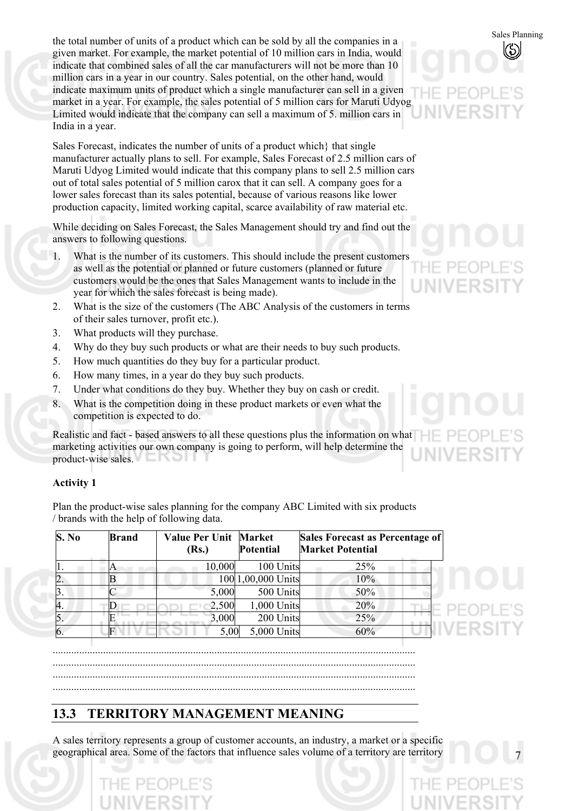Sales Planning the total number of units of a product which can be sold by all the companies in a given market. For example, the market potential of 10 million cars in India, would indicate that combined sales of all the car manufacturers will not be more than 10 million cars in a year in our country. Sales potential, on the other hand, would indicate maximum units of product which a single manufacturer can sell in a given market in a year. For example, the sales potential of 5 million cars for Maruti Udyog Limited would indicate that the company can sell a maximum of 5. million cars in India in a year.

Sales Forecast, indicates the number of units of a product which} that single manufacturer actually plans to sell. For example, Sales Forecast of 2.5 million cars of Maruti Udyog Limited would indicate that this company plans to sell 2.5 million cars out of total sales potential of 5 million carox that it can sell. A company goes for a lower sales forecast than its sales potential, because of various reasons like lower production capacity, limited working capital, scarce availability of raw material etc.

While deciding on Sales Forecast, the Sales Management should try and find out the answers to following questions.

- 1. What is the number of its customers. This should include the present customers as well as the potential or planned or future customers (planned or future customers would be the ones that Sales Management wants to include in the year for which the sales forecast is being made).
- 2. What is the size of the customers (The ABC Analysis of the customers in terms of their sales turnover, profit etc.).
- 3. What products will they purchase.
- 4. Why do they buy such products or what are their needs to buy such products.
- 5. How much quantities do they buy for a particular product.
- 6. How many times, in a year do they buy such products.
- 7. Under what conditions do they buy. Whether they buy on cash or credit.
- 8. What is the competition doing in these product markets or even what the competition is expected to do.

Realistic and fact - based answers to all these questions plus the information on what marketing activities our own company is going to perform, will help determine the product-wise sales.

## **Activity 1**

Plan the product-wise sales planning for the company ABC Limited with six products / brands with the help of following data.

| S. No | <b>Brand</b> | <b>Value Per Unit Market</b><br>(Rs.) | <b>Potential</b>   | Sales Forecast as Percentage of<br><b>Market Potential</b> |
|-------|--------------|---------------------------------------|--------------------|------------------------------------------------------------|
|       |              | 10,000                                | 100 Units          | 25%                                                        |
| 2.    |              |                                       | 100 1,00,000 Units | 10%                                                        |
|       |              | 5,000                                 | 500 Units          | 50%                                                        |
| 4.    |              | 2,500                                 | 1,000 Units        | 20%                                                        |
|       |              | 3,000                                 | 200 Units          | 25%                                                        |
|       |              | 5,00                                  | 5,000 Units        | 60%                                                        |

......................................................................................................................................... .........................................................................................................................................

- .........................................................................................................................................
- .........................................................................................................................................

# **13.3 TERRITORY MANAGEMENT MEANING**

A sales territory represents a group of customer accounts, an industry, a market or a specific geographical area. Some of the factors that influence sales volume of a territory are territory



**JIVERS**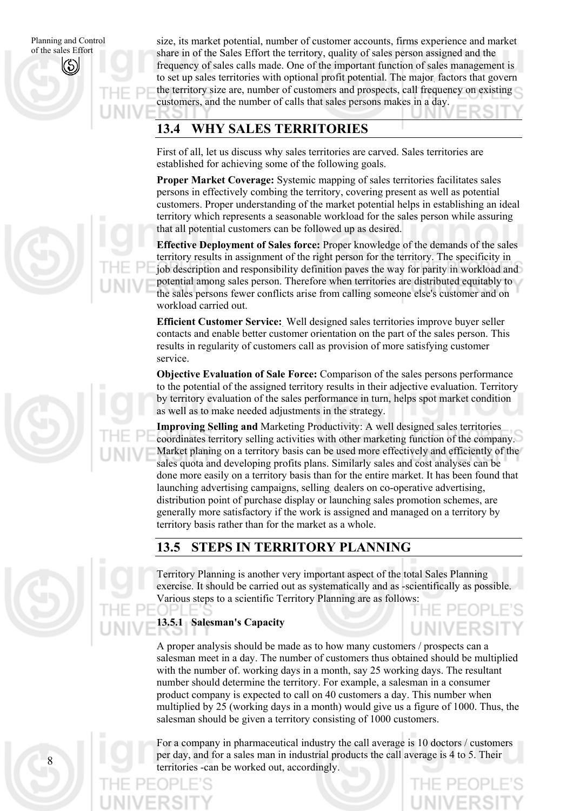8

size, its market potential, number of customer accounts, firms experience and market share in of the Sales Effort the territory, quality of sales person assigned and the frequency of sales calls made. One of the important function of sales management is to set up sales territories with optional profit potential. The major. factors that govern the territory size are, number of customers and prospects, call frequency on existing customers, and the number of calls that sales persons makes in a day.

# **13.4 WHY SALES TERRITORIES**

First of all, let us discuss why sales territories are carved. Sales territories are established for achieving some of the following goals.

**Proper Market Coverage:** Systemic mapping of sales territories facilitates sales persons in effectively combing the territory, covering present as well as potential customers. Proper understanding of the market potential helps in establishing an ideal territory which represents a seasonable workload for the sales person while assuring that all potential customers can be followed up as desired.

**Effective Deployment of Sales force:** Proper knowledge of the demands of the sales territory results in assignment of the right person for the territory. The specificity in job description and responsibility definition paves the way for parity in workload and potential among sales person. Therefore when territories are distributed equitably to the sales persons fewer conflicts arise from calling someone else's customer and on workload carried out.

**Efficient Customer Service:**. Well designed sales territories improve buyer seller contacts and enable better customer orientation on the part of the sales person. This results in regularity of customers call as provision of more satisfying customer service.

**Objective Evaluation of Sale Force:** Comparison of the sales persons performance to the potential of the assigned territory results in their adjective evaluation. Territory by territory evaluation of the sales performance in turn, helps spot market condition as well as to make needed adjustments in the strategy.

**Improving Selling and** Marketing Productivity: A well designed sales territories coordinates territory selling activities with other marketing function of the company. Market planing on a territory basis can be used more effectively and efficiently of the sales quota and developing profits plans. Similarly sales and cost analyses can be done more easily on a territory basis than for the entire market. It has been found that launching advertising campaigns, selling. dealers on co-operative advertising, distribution point of purchase display or launching sales promotion schemes, are generally more satisfactory if the work is assigned and managed on a territory by territory basis rather than for the market as a whole.

# **13.5 STEPS IN TERRITORY PLANNING**

Territory Planning is another very important aspect of the total Sales Planning exercise. It should be carried out as systematically and as -scientifically as possible. Various steps to a scientific Territory Planning are as follows:

## **13.5.1 Salesman's Capacity**

A proper analysis should be made as to how many customers / prospects can a salesman meet in a day. The number of customers thus obtained should be multiplied with the number of, working days in a month, say 25 working days. The resultant number should determine the territory. For example, a salesman in a consumer product company is expected to call on 40 customers a day. This number when multiplied by 25 (working days in a month) would give us a figure of 1000. Thus, the salesman should be given a territory consisting of 1000 customers.

For a company in pharmaceutical industry the call average is 10 doctors / customers per day, and for a sales man in industrial products the call average is 4 to 5. Their territories -can be worked out, accordingly.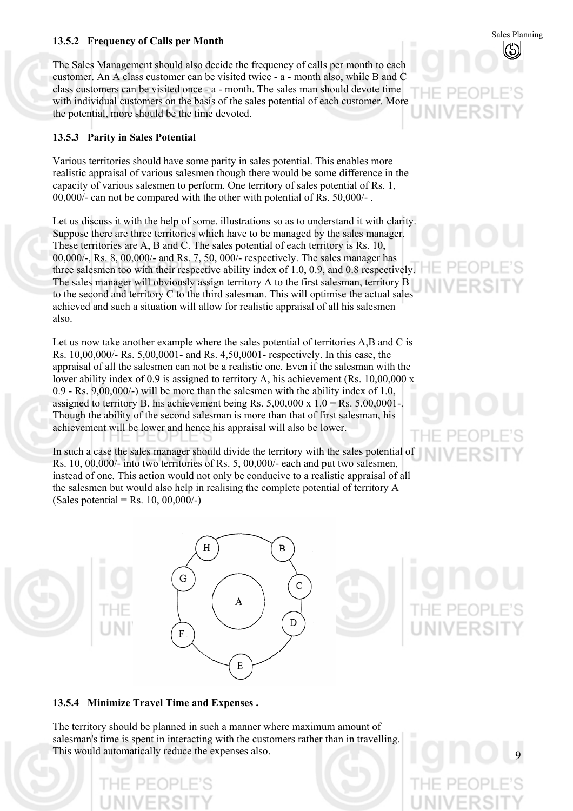# Sales Planning **13.5.2 Frequency of Calls per Month**

The Sales Management should also decide the frequency of calls per month to each customer. An A class customer can be visited twice - a - month also, while B and C class customers can be visited once - a - month. The sales man should devote time with individual customers on the basis of the sales potential of each customer. More the potential, more should be the time devoted.

## **13.5.3 Parity in Sales Potential**

Various territories should have some parity in sales potential. This enables more realistic appraisal of various salesmen though there would be some difference in the capacity of various salesmen to perform. One territory of sales potential of Rs. 1, 00,000/- can not be compared with the other with potential of Rs. 50,000/- .

Let us discuss it with the help of some. illustrations so as to understand it with clarity. Suppose there are three territories which have to be managed by the sales manager. These territories are A, B and C. The sales potential of each territory is Rs. 10, 00,000/-, Rs. 8, 00,000/- and Rs. 7, 50, 000/- respectively. The sales manager has three salesmen too with their respective ability index of 1.0, 0.9, and 0.8 respectively. The sales manager will obviously assign territory A to the first salesman, territory B to the second and territory C to the third salesman. This will optimise the actual sales achieved and such a situation will allow for realistic appraisal of all his salesmen also.

Let us now take another example where the sales potential of territories A,B and C is Rs. 10,00,000/- Rs. 5,00,0001- and Rs. 4,50,0001- respectively. In this case, the appraisal of all the salesmen can not be a realistic one. Even if the salesman with the lower ability index of 0.9 is assigned to territory A, his achievement (Rs. 10,00,000 x 0.9 - Rs. 9,00,000/-) will be more than the salesmen with the ability index of 1.0, assigned to territory B, his achievement being Rs.  $5,00,000 \times 1.0 = \text{Rs. } 5,00,0001$ . Though the ability of the second salesman is more than that of first salesman, his achievement will be lower and hence his appraisal will also be lower.

In such a case the sales manager should divide the territory with the sales potential of Rs. 10, 00,000/- into two territories of Rs. 5, 00,000/- each and put two salesmen, instead of one. This action would not only be conducive to a realistic appraisal of all the salesmen but would also help in realising the complete potential of territory A (Sales potential = Rs. 10,  $00,000/$ -)

A

E

R

C

D

 $H$ 

G

 $\mathbf F$ 

9

## **13.5.4 Minimize Travel Time and Expenses .**

The territory should be planned in such a manner where maximum amount of salesman's time is spent in interacting with the customers rather than in travelling. This would automatically reduce the expenses also.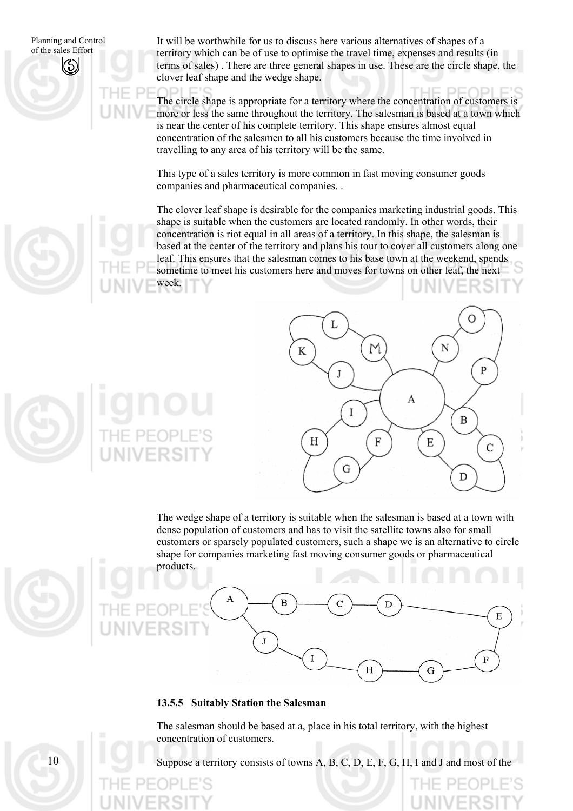$1<sub>0</sub>$ 

It will be worthwhile for us to discuss here various alternatives of shapes of a territory which can be of use to optimise the travel time, expenses and results (in terms of sales) . There are three general shapes in use. These are the circle shape, the clover leaf shape and the wedge shape.

The circle shape is appropriate for a territory where the concentration of customers is more or less the same throughout the territory. The salesman is based at a town which is near the center of his complete territory. This shape ensures almost equal concentration of the salesmen to all his customers because the time involved in travelling to any area of his territory will be the same.

This type of a sales territory is more common in fast moving consumer goods companies and pharmaceutical companies. .

The clover leaf shape is desirable for the companies marketing industrial goods. This shape is suitable when the customers are located randomly. In other words, their concentration is riot equal in all areas of a territory. In this shape, the salesman is based at the center of the territory and plans his tour to cover all customers along one leaf. This ensures that the salesman comes to his base town at the weekend, spends sometime to meet his customers here and moves for towns on other leaf, the next week.



D

G

Η

F

The wedge shape of a territory is suitable when the salesman is based at a town with dense population of customers and has to visit the satellite towns also for small customers or sparsely populated customers, such a shape we is an alternative to circle shape for companies marketing fast moving consumer goods or pharmaceutical products.

## **13.5.5 Suitably Station the Salesman**

J

A

The salesman should be based at a, place in his total territory, with the highest concentration of customers.

Ī

Suppose a territory consists of towns A, B, C, D, E, F, G, H, I and J and most of the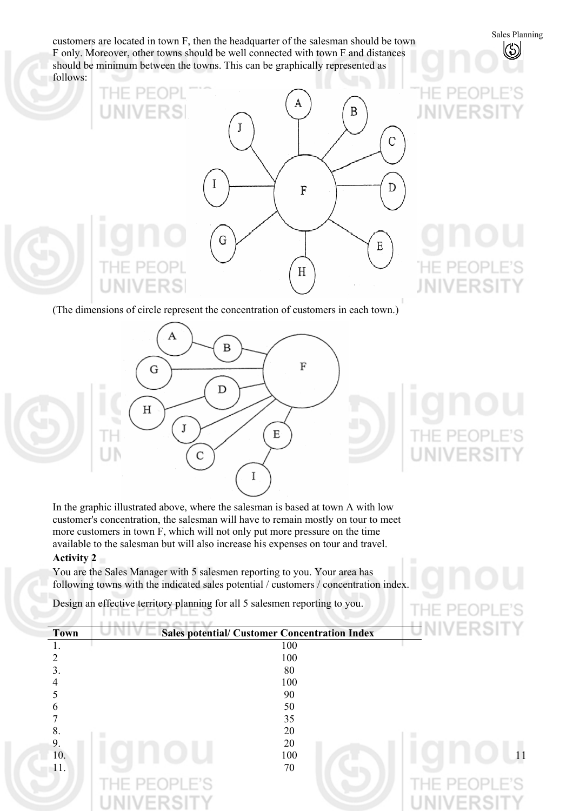Customers are located in town F, then the headquarter of the salesman should be town<br>F only Moreover other towns should be well connected with town F and distances F only. Moreover, other towns should be well connected with town F and distances should be minimum between the towns. This can be graphically represented as follows:

# FR B C I D  ${\bf F}$ G Ε łΕ.  $H$ **UNIVERS**

**JNIVERS** 

**EOPLE'S** 

**JNIVERS** 

(The dimensions of circle represent the concentration of customers in each town.)



In the graphic illustrated above, where the salesman is based at town A with low customer's concentration, the salesman will have to remain mostly on tour to meet more customers in town F, which will not only put more pressure on the time available to the salesman but will also increase his expenses on tour and travel.

## **Activity 2**

You are the Sales Manager with 5 salesmen reporting to you. Your area has following towns with the indicated sales potential / customers / concentration index.

Design an effective territory planning for all 5 salesmen reporting to you.

| <b>Town</b>       | <b>Sales potential/ Customer Concentration Index</b> | $\leftarrow$             |
|-------------------|------------------------------------------------------|--------------------------|
|                   | 100                                                  |                          |
|                   | 100                                                  |                          |
|                   | 80                                                   |                          |
|                   | 100                                                  |                          |
|                   |                                                      |                          |
|                   | 90                                                   |                          |
| h                 | 50                                                   |                          |
|                   | 35                                                   |                          |
| 8.                | 20                                                   |                          |
| 9.                | 20                                                   |                          |
| 10.               | 100                                                  |                          |
| $\overline{11}$ . | 70                                                   |                          |
|                   | PFOPLE'S<br>$1 - 11 - 1$                             | PFOPLE'S<br>--           |
|                   |                                                      |                          |
|                   |                                                      | $\overline{\phantom{a}}$ |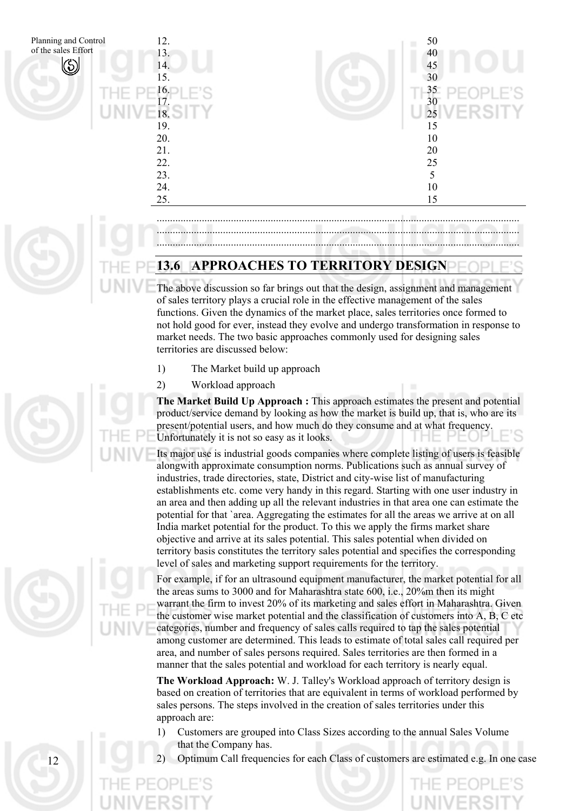

## ......................................................................................................................................... ......................................................................................................................................... .........................................................................................................................................

## **13.6 APPROACHES TO TERRITORY DESIGN**

The above discussion so far brings out that the design, assignment and management of sales territory plays a crucial role in the effective management of the sales functions. Given the dynamics of the market place, sales territories once formed to not hold good for ever, instead they evolve and undergo transformation in response to market needs. The two basic approaches commonly used for designing sales territories are discussed below:

- 1) The Market build up approach
- 2) Workload approach

**The Market Build Up Approach :** This approach estimates the present and potential product/service demand by looking as how the market is build up, that is, who are its present/potential users, and how much do they consume and at what frequency. Unfortunately it is not so easy as it looks.

Its major use is industrial goods companies where complete listing of users is feasible alongwith approximate consumption norms. Publications such as annual survey of industries, trade directories, state, District and city-wise list of manufacturing establishments etc. come very handy in this regard. Starting with one user industry in an area and then adding up all the relevant industries in that area one can estimate the potential for that `area. Aggregating the estimates for all the areas we arrive at on all India market potential for the product. To this we apply the firms market share objective and arrive at its sales potential. This sales potential when divided on territory basis constitutes the territory sales potential and specifies the corresponding level of sales and marketing support requirements for the territory.

For example, if for an ultrasound equipment manufacturer, the market potential for all the areas sums to 3000 and for Maharashtra state 600, i.e., 20%m then its might warrant the firm to invest 20% of its marketing and sales effort in Maharashtra. Given the customer wise market potential and the classification of customers into A, B, C etc categories, number and frequency of sales calls required to tap the sales potential among customer are determined. This leads to estimate of total sales call required per area, and number of sales persons required. Sales territories are then formed in a manner that the sales potential and workload for each territory is nearly equal.

**The Workload Approach:** W. J. Talley's Workload approach of territory design is based on creation of territories that are equivalent in terms of workload performed by sales persons. The steps involved in the creation of sales territories under this approach are:

- 1) Customers are grouped into Class Sizes according to the annual Sales Volume that the Company has.
- 2) Optimum Call frequencies for each Class of customers are estimated e.g. In one case



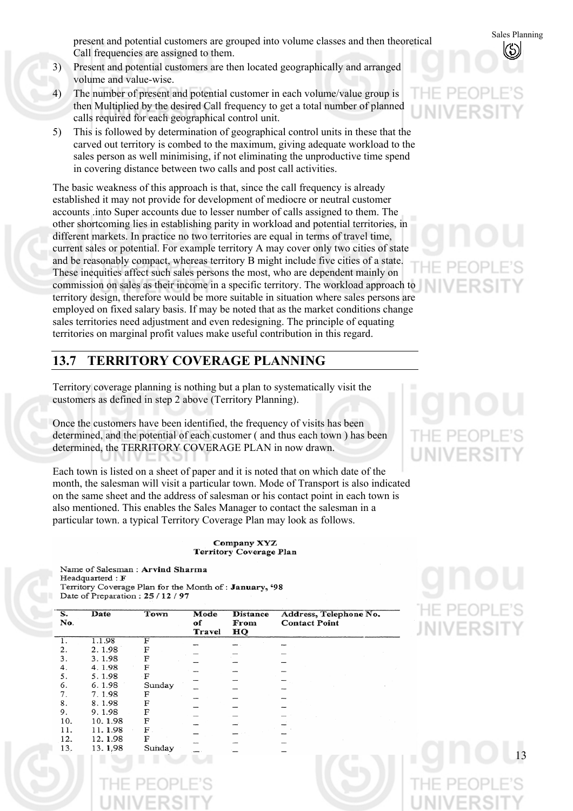present and potential customers are grouped into volume classes and then theoretical Sales Planning<br>Call frequencies are assigned to them Call frequencies are assigned to them.

- 3) Present and potential customers are then located geographically and arranged volume and value-wise.
- 4) The number of present and potential customer in each volume/value group is then Multiplied by the desired Call frequency to get a total number of planned calls required for each geographical control unit.
- 5) This is followed by determination of geographical control units in these that the carved out territory is combed to the maximum, giving adequate workload to the sales person as well minimising, if not eliminating the unproductive time spend in covering distance between two calls and post call activities.

The basic weakness of this approach is that, since the call frequency is already established it may not provide for development of mediocre or neutral customer accounts .into Super accounts due to lesser number of calls assigned to them. The other shortcoming lies in establishing parity in workload and potential territories, in different markets. In practice no two territories are equal in terms of travel time, current sales or potential. For example territory A may cover only two cities of state and be reasonably compact, whereas territory B might include five cities of a state. These inequities affect such sales persons the most, who are dependent mainly on commission on sales as their income in a specific territory. The workload approach to territory design, therefore would be more suitable in situation where sales persons are employed on fixed salary basis. If may be noted that as the market conditions change sales territories need adjustment and even redesigning. The principle of equating territories on marginal profit values make useful contribution in this regard.

## **13.7 TERRITORY COVERAGE PLANNING**

Territory coverage planning is nothing but a plan to systematically visit the customers as defined in step 2 above (Territory Planning).

Once the customers have been identified, the frequency of visits has been determined, and the potential of each customer ( and thus each town ) has been determined, the TERRITORY COVERAGE PLAN in now drawn.

Each town is listed on a sheet of paper and it is noted that on which date of the month, the salesman will visit a particular town. Mode of Transport is also indicated on the same sheet and the address of salesman or his contact point in each town is also mentioned. This enables the Sales Manager to contact the salesman in a particular town. a typical Territory Coverage Plan may look as follows.

> Company XYZ Territory Coverage Plan

Name of Salesman: Arvind Sharma Headquarterd: F Territory Coverage Plan for the Month of: January, '98 Date of Preparation: 25 / 12 / 97

| S.<br>No. | Date    | Town   | Mode<br>of<br>Travel | <b>Distance</b><br>From<br>НQ | Address, Telephone No.<br><b>Contact Point</b> |
|-----------|---------|--------|----------------------|-------------------------------|------------------------------------------------|
|           | 1.1.98  | F      |                      |                               |                                                |
| 2.        | 2.1.98  | F      |                      |                               |                                                |
| 3.        | 3.1.98  | F      |                      |                               |                                                |
| 4.        | 4.1.98  | F      |                      |                               |                                                |
| 5.        | 5.1.98  | F      |                      |                               |                                                |
| 6.        | 6.1.98  | Sunday |                      |                               |                                                |
| 7.        | 7.1.98  | F      |                      |                               |                                                |
| 8.        | 8.1.98  | F      |                      |                               |                                                |
| 9.        | 9.1.98  | F      |                      |                               |                                                |
| 10.       | 10.1.98 | F      |                      |                               |                                                |
| 11.       | 11.1.98 | F      |                      |                               |                                                |
| 12.       | 12.1.98 | F      |                      |                               |                                                |
| 13.       | 13.1.98 | Sunday |                      |                               |                                                |
|           |         |        |                      |                               |                                                |

HE PEOP **JNIVERS**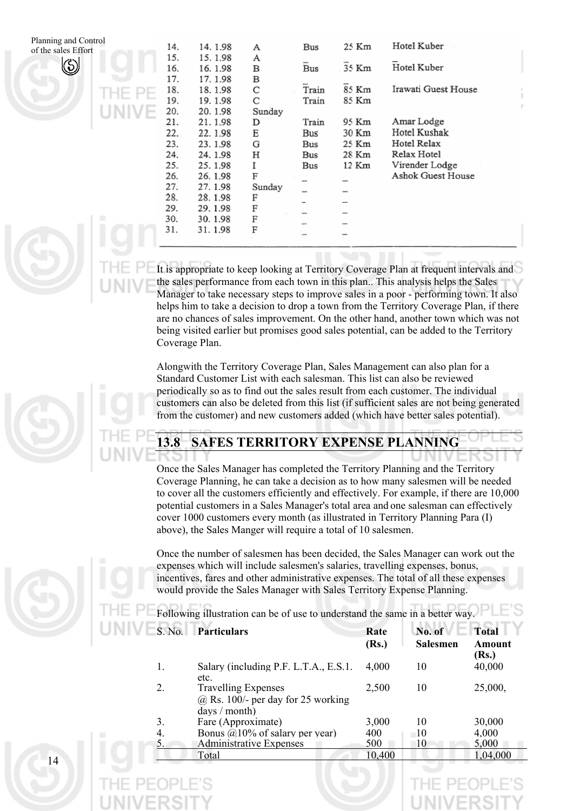

|    | 14. | 14.1.98 | А      | Bus   | 25 Km | Hotel Kuber         |  |
|----|-----|---------|--------|-------|-------|---------------------|--|
|    | 15. | 15.1.98 | А      |       |       |                     |  |
|    | 16. | 16.1.98 | в      | Bus   | 35 Km | Hotel Kuber         |  |
|    | 17. | 17.1.98 | в      |       |       |                     |  |
|    | 18. | 18.1.98 | С      | Train | 85 Km | Irawati Guest House |  |
| ÷  | 19. | 19.1.98 | С      | Train | 85 Km |                     |  |
| u, | 20. | 20.1.98 | Sunday |       |       |                     |  |
| ۰  | 21. | 21.1.98 | D      | Train | 95 Km | Amar Lodge          |  |
|    | 22. | 22.1.98 | E      | Bus   | 30 Km | Hotel Kushak        |  |
|    | 23. | 23.1.98 | G      | Bus   | 25 Km | Hotel Relax         |  |
|    | 24. | 24.1.98 | Н      | Bus   | 28 Km | Relax Hotel         |  |
|    | 25. | 25.1.98 | I      | Bus   | 12 Km | Virender Lodge      |  |
|    | 26. | 26.1.98 | F      |       |       | Ashok Guest House   |  |
|    | 27. | 27.1.98 | Sunday |       |       |                     |  |
|    | 28. | 28.1.98 | F      |       |       |                     |  |
|    | 29. | 29.1.98 | F      |       |       |                     |  |
|    | 30. | 30.1.98 | F      |       |       |                     |  |
|    | 31. | 31.1.98 | F      |       |       |                     |  |
|    |     |         |        |       |       |                     |  |
|    |     |         |        |       |       |                     |  |

It is appropriate to keep looking at Territory Coverage Plan at frequent intervals and the sales performance from each town in this plan.. This analysis helps the Sales Manager to take necessary steps to improve sales in a poor - performing town. It also helps him to take a decision to drop a town from the Territory Coverage Plan, if there are no chances of sales improvement. On the other hand, another town which was not being visited earlier but promises good sales potential, can be added to the Territory Coverage Plan.

Alongwith the Territory Coverage Plan, Sales Management can also plan for a Standard Customer List with each salesman. This list can also be reviewed periodically so as to find out the sales result from each customer. The individual customers can also be deleted from this list (if sufficient sales are not being generated from the customer) and new customers added (which have better sales potential).

## **13.8 SAFES TERRITORY EXPENSE PLANNING**

Once the Sales Manager has completed the Territory Planning and the Territory Coverage Planning, he can take a decision as to how many salesmen will be needed to cover all the customers efficiently and effectively. For example, if there are 10,000 potential customers in a Sales Manager's total area and one salesman can effectively cover 1000 customers every month (as illustrated in Territory Planning Para (I) above), the Sales Manger will require a total of 10 salesmen.

Once the number of salesmen has been decided, the Sales Manager can work out the expenses which will include salesmen's salaries, travelling expenses, bonus, incentives, fares and other administrative expenses. The total of all these expenses would provide the Sales Manager with Sales Territory Expense Planning.

Following illustration can be of use to understand the same in a better way.

| S. No. | <b>Particulars</b>                                                                    | Rate   | No. of   | <b>Total</b>    |
|--------|---------------------------------------------------------------------------------------|--------|----------|-----------------|
|        |                                                                                       | (Rs.)  | Salesmen | Amount<br>(Rs.) |
|        | Salary (including P.F. L.T.A., E.S.1.<br>etc.                                         | 4,000  | 10       | 40,000          |
|        | <b>Travelling Expenses</b><br>$(a)$ Rs. 100/- per day for 25 working<br>days / month) | 2.500  | 10       | 25,000,         |
| 3.     | Fare (Approximate)                                                                    | 3,000  | 10       | 30,000          |
| 4.     | Bonus $\omega$ 10% of salary per year)                                                | 400    | 10       | 4,000           |
| 5.     | Administrative Expenses                                                               | 500    | 10       | 5,000           |
|        | Total                                                                                 | 10,400 |          | 1,04,000        |

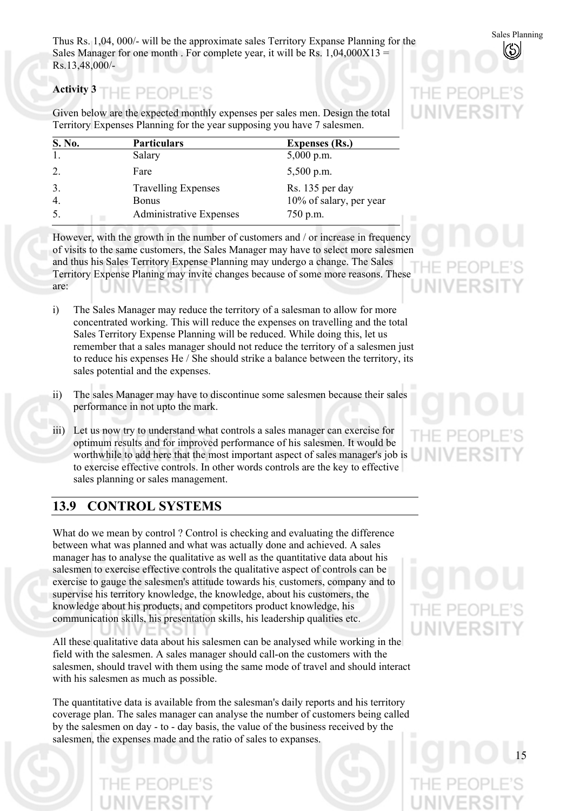Sales Planning Thus Rs. 1,04, 000/- will be the approximate sales Territory Expanse Planning for the Sales Manager for one month. For complete year, it will be Rs.  $1,04,000X13 =$ Rs.13,48,000/-

### **Activity 3**  IF PFOPLE'S

Given below are the expected monthly expenses per sales men. Design the total Territory Expenses Planning for the year supposing you have 7 salesmen.

| S. No. | <b>Particulars</b>         | <b>Expenses (Rs.)</b>   |
|--------|----------------------------|-------------------------|
|        | Salary                     | $5,000$ p.m.            |
| 2.     | Fare                       | $5,500$ p.m.            |
| 3.     | <b>Travelling Expenses</b> | Rs. 135 per day         |
| 4.     | <b>Bonus</b>               | 10% of salary, per year |
| 5.     | Administrative Expenses    | 750 p.m.                |

However, with the growth in the number of customers and / or increase in frequency of visits to the same customers, the Sales Manager may have to select more salesmen and thus his Sales Territory Expense Planning may undergo a change. The Sales Territory Expense Planing may invite changes because of some more reasons. These are:

- i) The Sales Manager may reduce the territory of a salesman to allow for more concentrated working. This will reduce the expenses on travelling and the total Sales Territory Expense Planning will be reduced. While doing this, let us remember that a sales manager should not reduce the territory of a salesmen just to reduce his expenses He / She should strike a balance between the territory, its sales potential and the expenses.
- ii) The sales Manager may have to discontinue some salesmen because their sales performance in not upto the mark.
- iii) Let us now try to understand what controls a sales manager can exercise for optimum results and for improved performance of his salesmen. It would be worthwhile to add here that the most important aspect of sales manager's job is to exercise effective controls. In other words controls are the key to effective sales planning or sales management.

# **13.9 CONTROL SYSTEMS**

What do we mean by control ? Control is checking and evaluating the difference between what was planned and what was actually done and achieved. A sales manager has to analyse the qualitative as well as the quantitative data about his salesmen to exercise effective controls the qualitative aspect of controls can be exercise to gauge the salesmen's attitude towards his, customers, company and to supervise his territory knowledge, the knowledge, about his customers, the knowledge about his products, and competitors product knowledge, his communication skills, his presentation skills, his leadership qualities etc.

All these qualitative data about his salesmen can be analysed while working in the field with the salesmen. A sales manager should call-on the customers with the salesmen, should travel with them using the same mode of travel and should interact with his salesmen as much as possible.

The quantitative data is available from the salesman's daily reports and his territory coverage plan. The sales manager can analyse the number of customers being called by the salesmen on day - to - day basis, the value of the business received by the salesmen, the expenses made and the ratio of sales to expanses.



JIVERS

 $\vdash$  PF(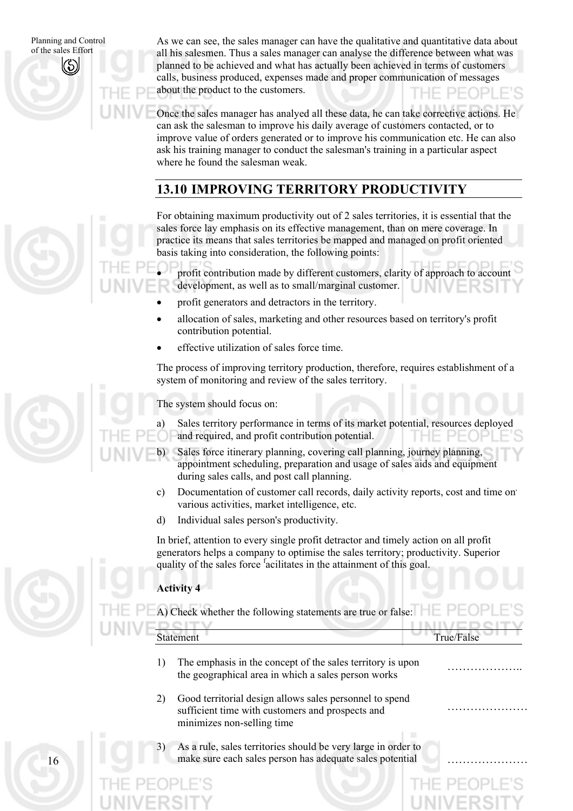As we can see, the sales manager can have the qualitative and quantitative data about all his salesmen. Thus a sales manager can analyse the difference between what was planned to be achieved and what has actually been achieved in terms of customers calls, business produced, expenses made and proper communication of messages about the product to the customers.

Once the sales manager has analyed all these data, he can take corrective actions. He can ask the salesman to improve his daily average of customers contacted, or to improve value of orders generated or to improve his communication etc. He can also ask his training manager to conduct the salesman's training in a particular aspect where he found the salesman weak.

# **13.10 IMPROVING TERRITORY PRODUCTIVITY**

For obtaining maximum productivity out of 2 sales territories, it is essential that the sales force lay emphasis on its effective management, than on mere coverage. In practice its means that sales territories be mapped and managed on profit oriented basis taking into consideration, the following points:

profit contribution made by different customers, clarity of approach to account development, as well as to small/marginal customer.

- profit generators and detractors in the territory.
- allocation of sales, marketing and other resources based on territory's profit contribution potential.
- effective utilization of sales force time.

The process of improving territory production, therefore, requires establishment of a system of monitoring and review of the sales territory.

The system should focus on:

•

- a) Sales territory performance in terms of its market potential, resources deployed and required, and profit contribution potential.
- b) Sales force itinerary planning, covering call planning, journey planning, appointment scheduling, preparation and usage of sales aids and equipment during sales calls, and post call planning.
- c) Documentation of customer call records, daily activity reports, cost and time on. various activities, market intelligence, etc.
- d) Individual sales person's productivity.

In brief, attention to every single profit detractor and timely action on all profit generators helps a company to optimise the sales territory; productivity. Superior quality of the sales force <sup>f</sup>acilitates in the attainment of this goal.

## **Activity 4**

A) Check whether the following statements are true or false:  $\Box$ 

| <b>Statement</b> | True/False |
|------------------|------------|
|                  |            |

……………………

…………………

- 1) The emphasis in the concept of the sales territory is upon the emphasis in the concept of the sates terms of is upon<br>the geographical area in which a sales person works
- 2) Good territorial design allows sales personnel to spend sufficient time with customers and prospects and minimizes non-selling time
- As a rule, sales territories should be very large in order to make sure each sales person has adequate sales potential

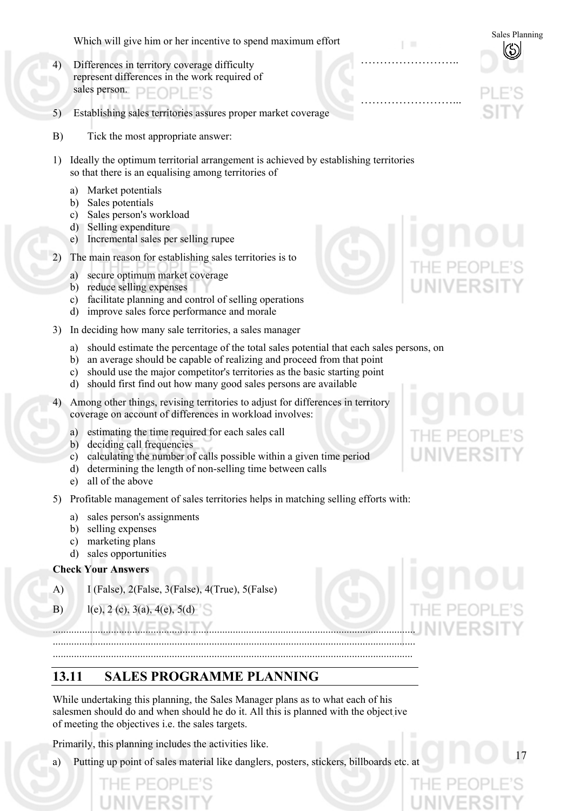Sales Planning Which will give him or her incentive to spend maximum effort

- 4) Differences in territory coverage difficulty represent differences in the work required of sales person. PEOPLE'S
- 5) Establishing sales territories assures proper market coverage
- B) Tick the most appropriate answer:
- 1) Ideally the optimum territorial arrangement is achieved by establishing territories so that there is an equalising among territories of
	- a) Market potentials
	- b) Sales potentials
	- c) Sales person's workload
	- d) Selling expenditure
	- e) Incremental sales per selling rupee
- 2) The main reason for establishing sales territories is to
	- a) secure optimum market coverage
	- b) reduce selling expenses
	- c) facilitate planning and control of selling operations
	- d) improve sales force performance and morale
- 3) In deciding how many sale territories, a sales manager
	- a) should estimate the percentage of the total sales potential that each sales persons, on
	- b) an average should be capable of realizing and proceed from that point
	- c) should use the major competitor's territories as the basic starting point
	- d) should first find out how many good sales persons are available
- 4) Among other things, revising territories to adjust for differences in territory coverage on account of differences in workload involves:
	- a) estimating the time required for each sales call
	- b) deciding call frequencies
	- c) calculating the number of calls possible within a given time period
	- d) determining the length of non-selling time between calls
	- e) all of the above
- 5) Profitable management of sales territories helps in matching selling efforts with:
	- a) sales person's assignments
	- b) selling expenses
	- c) marketing plans
	- d) sales opportunities

## **Check Your Answers**

- A) I (False), 2(False, 3(False), 4(True), 5(False)
- B) l(e), 2 (c), 3(a), 4(e), 5(d)

**13.11 SALES PROGRAMME PLANNING** 

While undertaking this planning, the Sales Manager plans as to what each of his salesmen should do and when should he do it. All this is planned with the object ive of meeting the objectives i.e. the sales targets.

......................................................................................................................................... ......................................................................................................................................... ........................................................................................................................................

Primarily, this planning includes the activities like.

Putting up point of sales material like danglers, posters, stickers, billboards etc. at



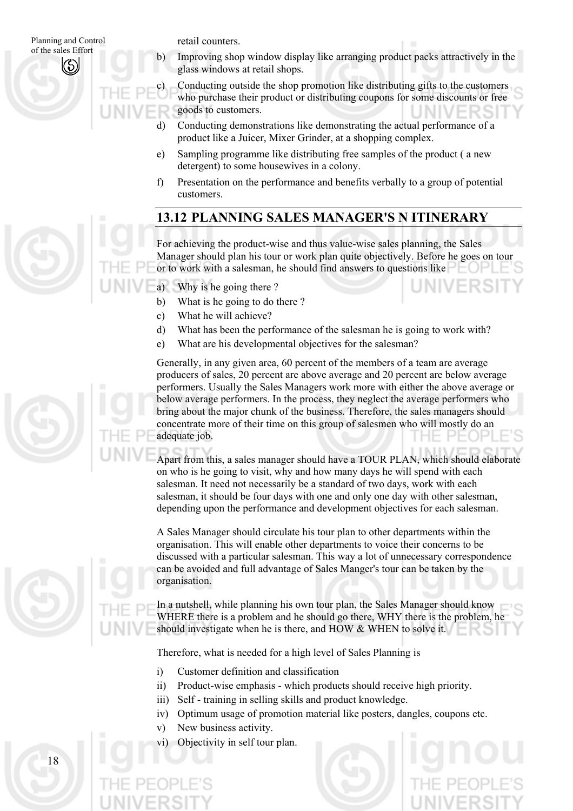retail counters.

c)

Improving shop window display like arranging product packs attractively in the glass windows at retail shops.

Conducting outside the shop promotion like distributing gifts to the customers who purchase their product or distributing coupons for some discounts or free goods to customers.

- d) Conducting demonstrations like demonstrating the actual performance of a product like a Juicer, Mixer Grinder, at a shopping complex.
- e) Sampling programme like distributing free samples of the product ( a new detergent) to some housewives in a colony.
- f) Presentation on the performance and benefits verbally to a group of potential customers.

# **13.12 PLANNING SALES MANAGER'S N ITINERARY**

For achieving the product-wise and thus value-wise sales planning, the Sales Manager should plan his tour or work plan quite objectively. Before he goes on tour or to work with a salesman, he should find answers to questions like

a) Why is he going there?

- b) What is he going to do there?
- c) What he will achieve?
- d) What has been the performance of the salesman he is going to work with?
- e) What are his developmental objectives for the salesman?

Generally, in any given area, 60 percent of the members of a team are average producers of sales, 20 percent are above average and 20 percent are below average performers. Usually the Sales Managers work more with either the above average or below average performers. In the process, they neglect the average performers who bring about the major chunk of the business. Therefore, the sales managers should concentrate more of their time on this group of salesmen who will mostly do an adequate job.

Apart from this, a sales manager should have a TOUR PLAN, which should elaborate on who is he going to visit, why and how many days he will spend with each salesman. It need not necessarily be a standard of two days, work with each salesman, it should be four days with one and only one day with other salesman, depending upon the performance and development objectives for each salesman.

A Sales Manager should circulate his tour plan to other departments within the organisation. This will enable other departments to voice their concerns to be discussed with a particular salesman. This way a lot of unnecessary correspondence can be avoided and full advantage of Sales Manger's tour can be taken by the organisation.

In a nutshell, while planning his own tour plan, the Sales Manager should know WHERE there is a problem and he should go there, WHY there is the problem, he should investigate when he is there, and HOW & WHEN to solve it.

Therefore, what is needed for a high level of Sales Planning is

- i) Customer definition and classification
- ii) Product-wise emphasis - which products should receive high priority.
- iii) Self training in selling skills and product knowledge.
- iv) Optimum usage of promotion material like posters, dangles, coupons etc.
- v) New business activity.
- vi) Objectivity in self tour plan.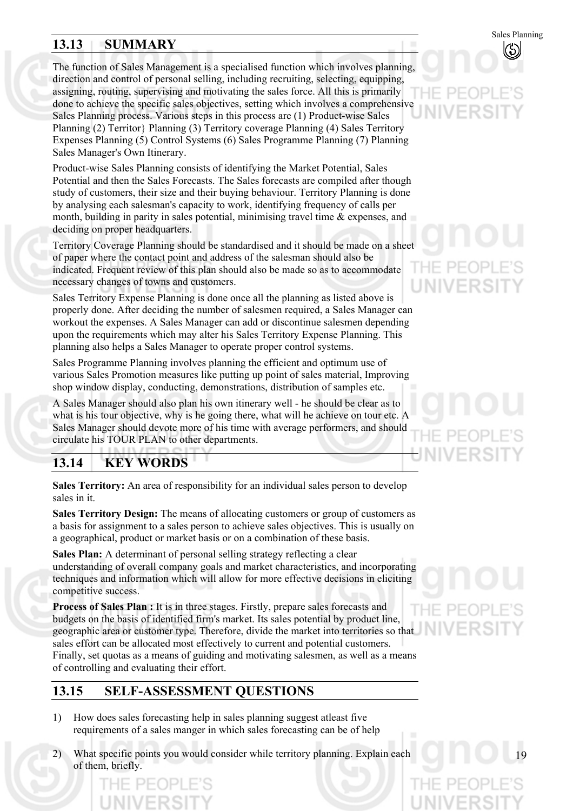# **13.13 SUMMARY**

The function of Sales Management is a specialised function which involves planning, direction and control of personal selling, including recruiting, selecting, equipping, assigning, routing, supervising and motivating the sales force. All this is primarily done to achieve the specific sales objectives, setting which involves a comprehensive Sales Planning process. Various steps in this process are (1) Product-wise Sales Planning (2) Territor} Planning (3) Territory coverage Planning (4) Sales Territory Expenses Planning (5) Control Systems (6) Sales Programme Planning (7) Planning Sales Manager's Own Itinerary.

Product-wise Sales Planning consists of identifying the Market Potential, Sales Potential and then the Sales Forecasts. The Sales forecasts are compiled after though study of customers, their size and their buying behaviour. Territory Planning is done by analysing each salesman's capacity to work, identifying frequency of calls per month, building in parity in sales potential, minimising travel time  $\&$  expenses, and deciding on proper headquarters.

Territory Coverage Planning should be standardised and it should be made on a sheet of paper where the contact point and address of the salesman should also be indicated. Frequent review of this plan should also be made so as to accommodate necessary changes of towns and customers.

Sales Territory Expense Planning is done once all the planning as listed above is properly done. After deciding the number of salesmen required, a Sales Manager can workout the expenses. A Sales Manager can add or discontinue salesmen depending upon the requirements which may alter his Sales Territory Expense Planning. This planning also helps a Sales Manager to operate proper control systems.

Sales Programme Planning involves planning the efficient and optimum use of various Sales Promotion measures like putting up point of sales material, Improving shop window display, conducting, demonstrations, distribution of samples etc.

A Sales Manager should also plan his own itinerary well - he should be clear as to what is his tour objective, why is he going there, what will he achieve on tour etc. A Sales Manager should devote more of his time with average performers, and should circulate his TOUR PLAN to other departments.

# **13.14 KEY WORDS**

**Sales Territory:** An area of responsibility for an individual sales person to develop sales in it.

**Sales Territory Design:** The means of allocating customers or group of customers as a basis for assignment to a sales person to achieve sales objectives. This is usually on a geographical, product or market basis or on a combination of these basis.

**Sales Plan:** A determinant of personal selling strategy reflecting a clear understanding of overall company goals and market characteristics, and incorporating techniques and information which will allow for more effective decisions in eliciting competitive success.

**Process of Sales Plan :** It is in three stages. Firstly, prepare sales forecasts and budgets on the basis of identified firm's market. Its sales potential by product line, geographic area or customer type. Therefore, divide the market into territories so that sales effort can be allocated most effectively to current and potential customers. Finally, set quotas as a means of guiding and motivating salesmen, as well as a means of controlling and evaluating their effort.

# **13.15 SELF-ASSESSMENT QUESTIONS**

- 1) How does sales forecasting help in sales planning suggest atleast five requirements of a sales manger in which sales forecasting can be of help
- 2) What specific points you would consider while territory planning. Explain each of them, briefly.



# VFRSI